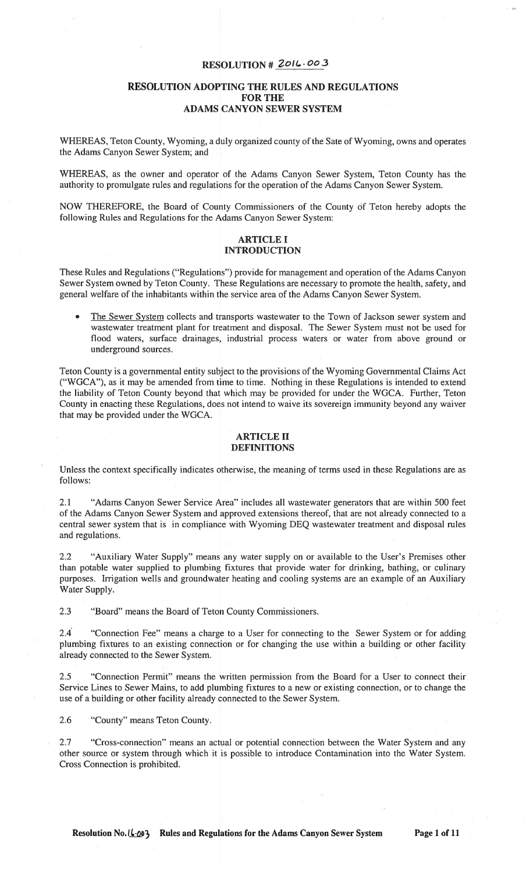### RESOLUTION # 2016.003

### RESOLUTION ADOPTING THE RULES AND REGULATIONS FOR THE ADAMS CANYON SEWER SYSTEM

WHEREAS, Teton County, Wyoming, a duly organized county of the Sate of Wyoming, owns and operates the Adams Canyon Sewer System; and

WHEREAS, as the owner and operator of the Adams Canyon Sewer System, Teton County has the authority to promulgate rules and regulations for the operation of the Adams Canyon Sewer System.

NOW THEREFORE, the Board of County Commissioners of the County of Teton hereby adopts the following Rules and Regulations for the Adams Canyon Sewer System:

### ARTICLE I INTRODUCTION

These Rules and Regulations ("Regulations") provide for management and operation of the Adams Canyon Sewer System owned by Teton County. These Regulations are necessary to promote the health, safety, and general welfare of the inhabitants within the service area of the Adams Canyon Sewer System.

The Sewer System collects and transports wastewater to the Town of Jackson sewer system and wastewater treatment plant for treatment and disposal. The Sewer System must not be used for flood waters, surface drainages, industrial process waters or water from above ground or underground sources.

Teton County is a governmental entity subject to the provisions of the Wyoming Governmental Claims Act ("WGCA"), as it may be amended from time to time. Nothing in these Regulations is intended to extend the liability of Teton County beyond that which may be provided for under the WGCA. Further, Teton County in enacting these Regulations, does not intend to waive its sovereign immunity beyond any waiver that may be provided under the WGCA.

#### ARTICLE II DEFINITIONS

Unless the context specifically indicates otherwise, the meaning of terms used in these Regulations are as follows:

2.1 "Adams Canyon Sewer Service Area" includes all wastewater generators that are within 500 feet of the Adams Canyon Sewer System and approved extensions thereof, that are not already connected to a central sewer system that is in compliance with Wyoming DEQ wastewater treatment and disposal rules and regulations.

2.2 "Auxiliary Water Supply" means any water supply on or available to the User's Premises other than potable water supplied to plumbing fixtures that provide water for drinking, bathing, or culinary purposes. Irrigation wells and groundwater heating and cooling systems are an example of an Auxiliary Water Supply.

2.3 "Board" means the Board of Teton County Commissioners.

2.4 "Connection Fee" means a charge to a User for connecting to the Sewer System or for adding plumbing fixtures to an existing connection or for changing the use within a building or other facility already connected to the Sewer System.

2.5 "Connection Permit" means the written permission from the Board for a User to connect their Service Lines to Sewer Mains, to add plumbing fixtures to a new or existing connection, or to change the use of a building or other facility already connected to the Sewer System.

2.6 "County" means Teton County.

2.7 "Cross-connection" means an actual or potential connection between the Water System and any other source or system through which it is possible to introduce Contamination into the Water System. Cross Connection is prohibited.

Resolution No. 16.003 Rules and Regulations for the Adams Canyon Sewer System Page 1 of 11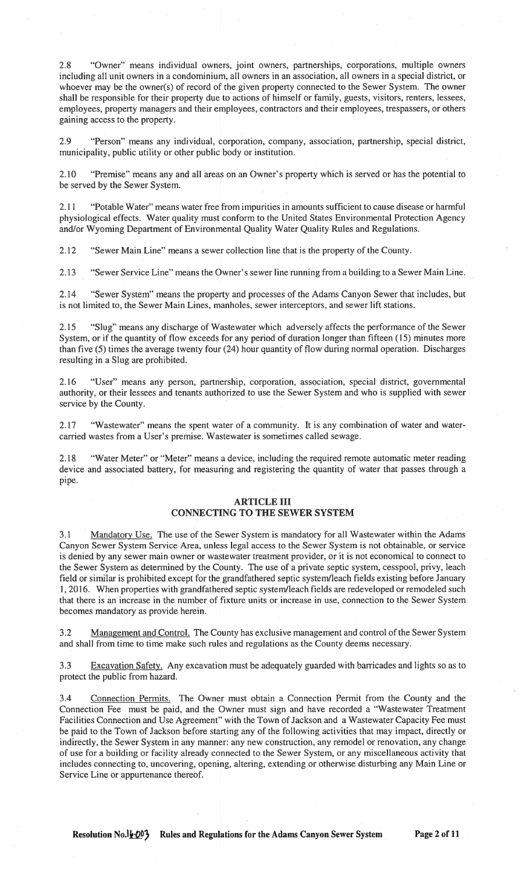2.8 "Owner" means individual owners, joint owners, partnerships, corporations, multiple owners including all unit owners in a condominium, all owners in an association, all owners in a special district, or whoever may be the owner(s) of record of the given property connected to the Sewer System. The owner shall be responsible for their property due to actions of himself or family, guests, visitors, renters, lessees, employees, property managers and their employees, contractors and their employees, trespassers, or others gaining access to the property.

2.9 "Person" means any individual, corporation, company, association, partnership, special district, municipality, public utility or other public body or institution.

2.10 "Premise" means any and all areas on an Owner's property which is served or has the potential to be served by the Sewer System.

2.11 "Potable Water" means water free from impurities in amounts sufficient to cause disease or harmful physiological effects. Water quality must conform to the United States Environmental Protection Agency and/or Wyoming Department of Environmental Quality Water Quality Rules and Regulations.

2.12 "Sewer Main Line" means a sewer collection line that is the property of the County.

2.13 "Sewer Service Line" means the Owner's sewer line running from a building to a Sewer Main Line.

2.14 "Sewer System" means the property and processes of the Adams Canyon Sewer that includes, but is not limited to, the Sewer Main Lines, manholes, sewer interceptors, and sewer lift stations.

2.15 "Slug" means any discharge of Wastewater which adversely affects the performance of the Sewer System, or if the quantity of flow exceeds for any period of duration longer than fifteen (15) minutes more than five (5) times the average twenty four (24) hour quantity of flow during normal operation. Discharges resulting in a Slug are prohibited.

2.16 "User" means any person, partnership, corporation, association, special district, governmental authority, or their lessees and tenants authorized to use the Sewer System and who is supplied with sewer service by the County.

2.17 "Wastewater" means the spent water of a community. It is any combination of water and watercarried wastes from a User's premise. Wastewater is sometimes called sewage.

2.18 "Water Meter" or "Meter" means a device, including the required remote automatic meter reading device and associated battery, for measuring and registering the quantity of water that passes through a pipe.

### ARTICLE III CONNECTING TO THE SEWER SYSTEM

Mandatory Use. The use of the Sewer System is mandatory for all Wastewater within the Adams Canyon Sewer System Service Area, unless legal access to the Sewer System is not obtainable, or service is denied by any sewer main owner or wastewater treatment provider, or it is not economical to connect to the Sewer System as determined by the County. The use of a private septic system, cesspool, privy, leach field or similar is prohibited except for the grandfathered septic system/leach fields existing before January 1,2016. When properties with grandfathered septic system/leach fields are redeveloped or remodeled such that there is an increase in the number of fixture units or increase in use, connection to the Sewer System becomes mandatory as provide herein.

3.2 Management and Control. The County has exclusive management and control of the Sewer System and shall from time to time make such rules and regulations as the County deems necessary.

3.3 Excavation Safety. Any excavation must be adequately guarded with barricades and lights so as to protect the public from hazard.

3.4 Connection Permits. The Owner must obtain a Connection Permit from the County and the Connection Fee must be paid, and the Owner must sign and have recorded a "Wastewater Treatment Facilities Connection and Use Agreement" with the Town of Jackson and a Wastewater Capacity Fee must be paid to the Town of Jackson before starting any of the following activities that may impact, directly or indirectly, the Sewer System in any manner: any new construction, any remodel or renovation, any change of use for a building or facility already connected to the Sewer System, or any miscellaneous activity that includes connecting to, uncovering, opening, altering, extending or otherwise disturbing any Main Line or Service Line or appurtenance thereof.

Resolution No. $\frac{1}{2}$  *Q*<sup>3</sup> Rules and Regulations for the Adams Canyon Sewer System Page 2 of 11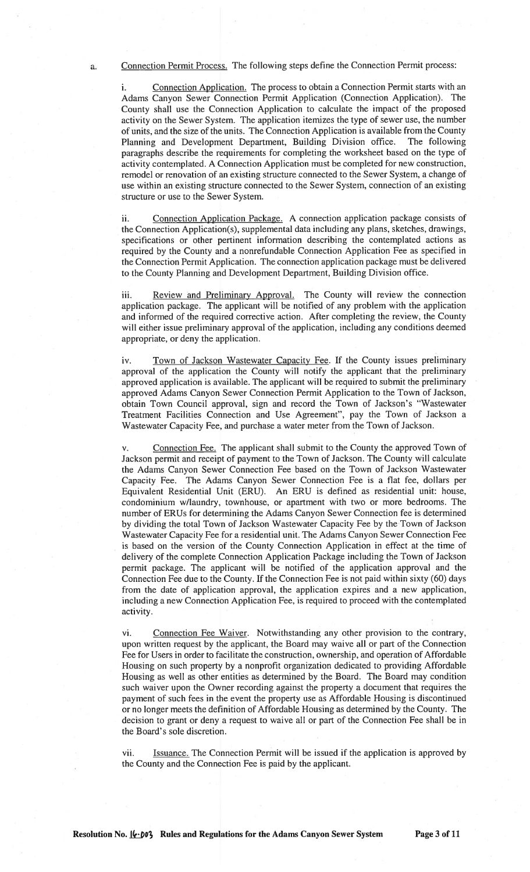a. Connection Permit Process. The following steps define the Connection Permit process:

i. Connection Application. The process to obtain a Connection Permit starts with an Adams Canyon Sewer Connection Permit Application (Connection Application). The County shall use the Connection Application to calculate the impact of the proposed activity on the Sewer System. The application itemizes the type of sewer use, the number of units, and the size of the units. The Connection Application is available from the County Planning and Development Department, Building Division office. The following paragraphs describe the requirements for completing the worksheet based on the type of activity contemplated. A Connection Application must be completed for new construction, remodel or renovation of an existing structure connected to the Sewer System, a change of use within an existing structure connected to the Sewer System, connection of an existing structure or use to the Sewer System.

ii. Connection Application Package. A connection application package consists of the Connection Application(s), supplemental data including any plans, sketches, drawings, specifications or other pertinent information describing the contemplated actions as required by the County and a nonrefundable Connection Application Fee as specified in the Connection Permit Application. The connection application package must be delivered to the County Planning and Development Department, Building Division office.

iii. Review and Preliminary Approval. The County will review the connection application package. The applicant will be notified of any problem with the application and informed of the required corrective action. After completing the review, the County will either issue preliminary approval of the application, including any conditions deemed appropriate, or deny the application.

iv. Town of Jackson Wastewater Capacity Fee. If the County issues preliminary approval of the application the County will notify the applicant that the preliminary approved application is available. The applicant will be required to submit the preliminary approved Adams Canyon Sewer Connection Permit Application to the Town of Jackson, obtain Town Council approval, sign and record the Town of Jackson's "Wastewater Treatment Facilities Connection and Use Agreement", pay the Town of Jackson a Wastewater Capacity Fee, and purchase a water meter from the Town of Jackson.

v. Connection Fee. The applicant shall submit to the County the approved Town of Jackson permit and receipt of payment to the Town of Jackson. The County will calculate the Adams Canyon Sewer Connection Fee based on the Town of Jackson Wastewater Capacity Fee. The Adams Canyon Sewer Connection Fee is a flat fee, dollars per Equivalent Residential Unit (ERU). An ERU is defined as residential unit: house, condominium w/laundry, townhouse, or apartment with two or more bedrooms. The number of ERUs for determining the Adams Canyon Sewer Connection fee is determined by dividing the total Town of Jackson Wastewater Capacity Fee by the Town of Jackson Wastewater Capacity Fee for a residential unit. The Adams Canyon Sewer Connection Fee is based on the version of the County Connection Application in effect at the time of delivery of the complete Connection Application Package including the Town of Jackson permit package. The applicant will be notified of the application approval and the Connection Fee due to the County. If the Connection Fee is not paid within sixty (60) days from the date of application approval, the application expires and a new application, including a new Connection Application Fee, is required to proceed with the contemplated activity.

vi. Connection Fee Waiver. Notwithstanding any other provision to the contrary, upon written request by the applicant, the Board may waive all or part of the Connection Fee for Users in order to facilitate the construction, ownership, and operation of Affordable Housing on such property by a nonprofit organization dedicated to providing Affordable Housing as well as other entities as determined by the Board. The Board may condition such waiver upon the Owner recording against the property a document that requires the payment of such fees in the event the property use as Affordable Housing is discontinued or no longer meets the definition of Affordable Housing as determined by the County. The decision to grant or deny a request to waive all or part of the Connection Fee shall be in the Board's sole discretion.

vii. Issuance. The Connection Permit will be issued if the application is approved by the County and the Connection Fee is paid by the applicant.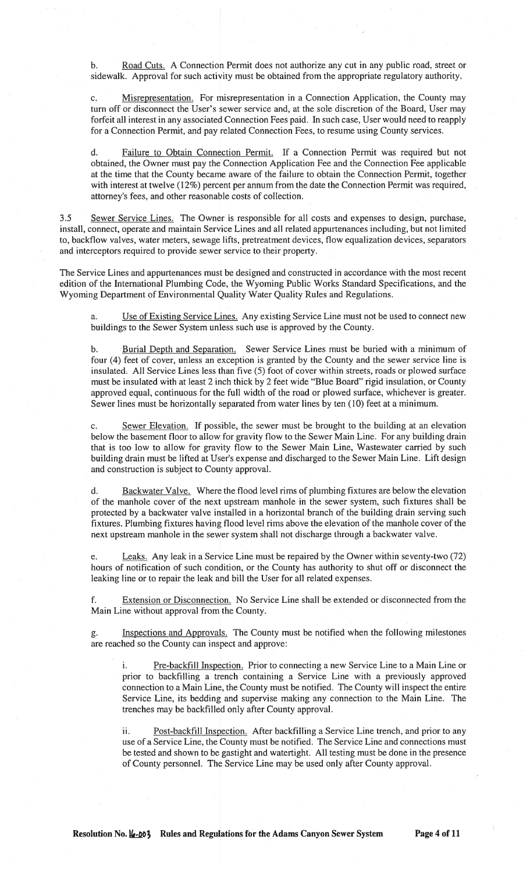b. Road Cuts. A Connection Permit does not authorize any cut in any public road, street or sidewalk. Approval for such activity must be obtained from the appropriate regulatory authority.

c. Misrepresentation. For misrepresentation in a Connection Application, the County may turn off or disconnect the User's sewer service and, at the sole discretion of the Board, User may forfeit all interest in any associated Connection Fees paid. In such case, User would need to reapply for a Connection Permit, and pay related Connection Fees, to resume using County services.

d. Failure to Obtain Connection Permit. If a Connection Permit was required but not obtained, the Owner must pay the Connection Application Fee and the Connection Fee applicable at the time that the County became aware of the failure to obtain the Connection Permit, together with interest at twelve (12%) percent per annum from the date the Connection Permit was required, attorney's fees, and other reasonable costs of collection.

3.5 Sewer Service Lines. The Owner is responsible for all costs and expenses to design, purchase, install, connect, operate and maintain Service Lines and all related appurtenances including, but not limited to, backflow valves, water meters, sewage lifts, pretreatment devices, flow equalization devices, separators and interceptors required to provide sewer service to their property.

The Service Lines and appurtenances must be designed and constructed in accordance with the most recent edition of the International Plumbing Code, the Wyoming Public Works Standard Specifications, and the Wyoming Department of Environmental Quality Water Quality Rules and Regulations.

a. Use of Existing Service Lines. Any existing Service Line must not be used to connect new buildings to the Sewer System unless such use is approved by the County.

b. Burial Depth and Separation. Sewer Service Lines must be buried with a minimum of four (4) feet of cover, unless an exception is granted by the County and the sewer service line is insulated. All Service Lines less than five (5) foot of cover within streets, roads or plowed surface must be insulated with at least 2 inch thick by 2 feet wide "Blue Board" rigid insulation, or County approved equal, continuous for the full width of the road or plowed surface, whichever is greater. Sewer lines must be horizontally separated from water lines by ten (10) feet at a minimum.

c. Sewer Elevation. If possible, the sewer must be brought to the building at an elevation below the basement floor to allow for gravity flow to the Sewer Main Line. For any building drain that is too low to allow for gravity flow to the Sewer Main Line, Wastewater carried by such building drain must be lifted at User's expense and discharged to the Sewer Main Line. Lift design and construction is subject to County approval.

d. Backwater Valve. Where the flood level rims of plumbing fixtures are below the elevation of the manhole cover of the next upstream manhole in the sewer system, such fixtures shall be protected by a backwater valve installed in a horizontal branch of the building drain serving such fixtures. Plumbing fixtures having flood level rims above the elevation of the manhole cover of the next upstream manhole in the sewer system shall not discharge through a backwater valve.

e. Leaks. Any leak in a Service Line must be repaired by the Owner within seventy-two (72) hours of notification of such condition, or the County has authority to shut off or disconnect the leaking line or to repair the leak and bill the User for all related expenses.

f. Extension or Disconnection. No Service Line shall be extended or disconnected from the Main Line without approval from the County.

g. Inspections and Approvals. The County must be notified when the following milestones are reached so the County can inspect and approve:

Pre-backfill Inspection. Prior to connecting a new Service Line to a Main Line or prior to backfilling a trench containing a Service Line with a previously approved connection to a Main Line, the County must be notified. The County will inspect the entire Service Line, its bedding and supervise making any connection to the Main Line. The trenches may be backfilled only after County approval.

ii. Post-backfill Inspection. After backfilling a Service Line trench, and prior to any use of a Service Line, the County must be notified. The Service Line and connections must be tested and shown to be gastight and watertight. All testing must be done in the presence of County personnel. The Service Line may be used only after County approval.

Resolution No.  $\mu_2$  Rules and Regulations for the Adams Canyon Sewer System Page 4 of 11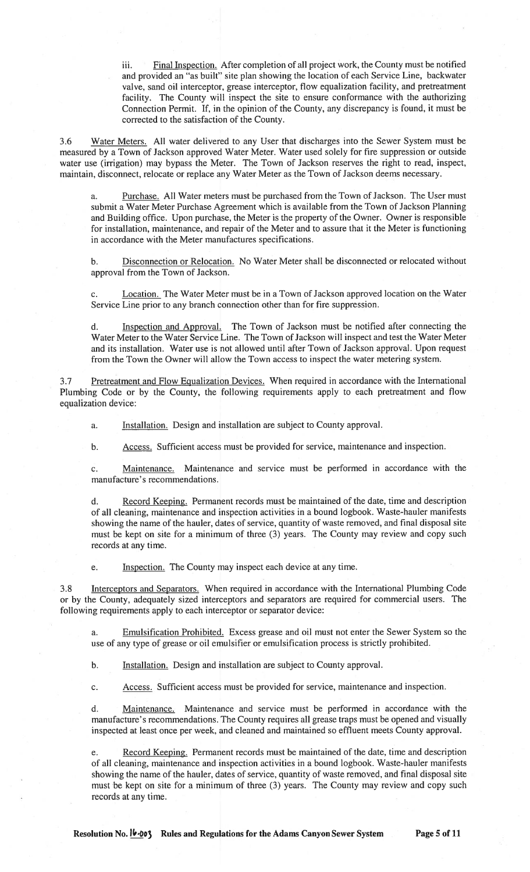iii. Final Inspection. After completion of all project work, the County must be notified and provided an "as built" site plan showing the location of each Service Line, backwater valve, sand oil interceptor, grease interceptor, flow equalization facility, and pretreatment facility. The County will inspect the site to ensure conformance with the authorizing Connection Permit. If, in the opinion of the County, any discrepancy is found, it must be corrected to the satisfaction of the County.

3.6 Water Meters. All water delivered to any User that discharges into the Sewer System must be measured by a Town of Jackson approved Water Meter. Water used solely for fire suppression or outside water use (irrigation) may bypass the Meter. The Town of Jackson reserves the right to read, inspect, maintain, disconnect, relocate or replace any Water Meter as the Town of Jackson deems necessary.

a. Purchase. All Water meters must be purchased from the Town of Jackson. The User must submit a Water Meter Purchase Agreement which is available from the Town of Jackson Planning and Building office. Upon purchase, the Meter is the property of the Owner. Owner is responsible for installation, maintenance, and repair of the Meter and to assure that it the Meter is functioning in accordance with the Meter manufactures specifications.

b. Disconnection or Relocation. No Water Meter shall be disconnected or relocated without approval from the Town of Jackson.

c. Location. The Water Meter must be in a Town of Jackson approved location on the Water Service Line prior to any branch connection other than for fire suppression.

d. Inspection and Approval. The Town of Jackson must be notified after connecting the Water Meter to the Water Service Line. The Town of Jackson will inspect and test the Water Meter and its installation. Water use is not allowed until after Town of Jackson approval. Upon request from the Town the Owner will allow the Town access to inspect the water metering system.

3.7 Pretreatment and Flow Equalization Devices. When required in accordance with the International Plumbing Code or by the County, the following requirements apply to each pretreatment and flow equalization device:

a. Installation. Design and installation are subject to County approval.

b. Access. Sufficient access must be provided for service, maintenance and inspection.

c. Maintenance. Maintenance and service must be performed in accordance with the manufacture's recommendations.

d. Record Keeping. Permanent records must be maintained of the date, time and description of all cleaning, maintenance and inspection activities in a bound logbook. Waste-hauler manifests showing the name of the hauler, dates of service, quantity of waste removed, and final disposal site must be kept on site for a minimum of three (3) years. The County may review and copy such records at any time.

e. **Inspection.** The County may inspect each device at any time.

3.8 Interceptors and Separators. When required in accordance with the International Plumbing Code or by the County, adequately sized interceptors and separators are required for commercial users. The following requirements apply to each interceptor or separator device:

a. Emulsification Prohibited. Excess grease and oil must not enter the Sewer System so the use of any type of grease or oil emulsifier or emulsification process is strictly prohibited.

b. **Installation.** Design and installation are subject to County approval.

c. Access. Sufficient access must be provided for service, maintenance and inspection.

d. Maintenance. Maintenance and service must be performed in accordance with the manufacture's recommendations. The County requires all grease traps must be opened and visually inspected at least once per week, and cleaned and maintained so effluent meets County approval.

Record Keeping. Permanent records must be maintained of the date, time and description of all cleaning, maintenance and inspection activities in a bound logbook. Waste-hauler manifests showing the name of the hauler, dates of service, quantity of waste removed, and final disposal site must be kept on site for a minimum of three (3) years. The County may review and copy such records at any time.

Resolution No. 16-003 Rules and Regulations for the Adams Canyon Sewer System Page 5 of 11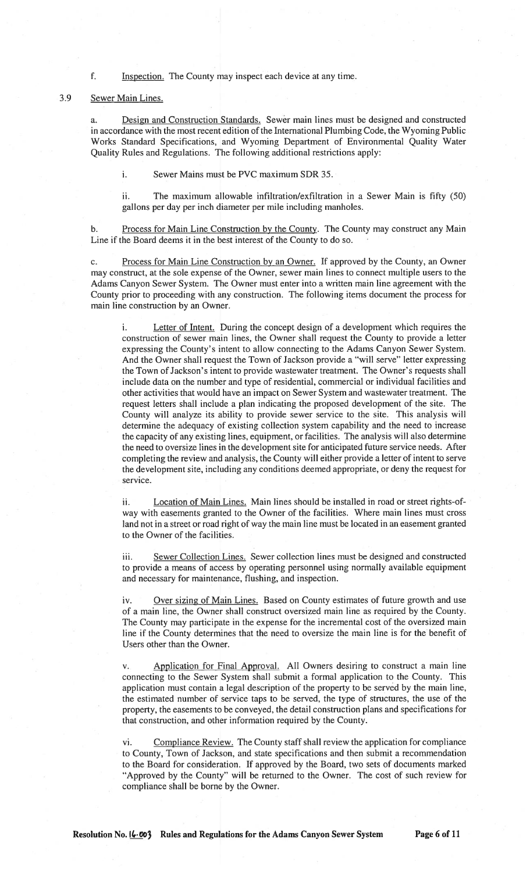f. Inspection. The County may inspect each device at any time.

### 3.9 Sewer Main Lines.

a. Design and Construction Standards. Sewer main lines must be designed and constructed in accordance with the most recent edition of the International Plumbing Code, the Wyoming Public Works Standard Specifications, and Wyoming Department of Environmental Quality Water Quality Rules and Regulations. The following additional restrictions apply:

i. Sewer Mains must be PVC maximum SDR 35.

ii. The maximum allowable infiltration/exfiltration in a Sewer Main is fifty (50) gallons per day per inch diameter per mile including manholes.

b. Process for Main Line Construction by the County. The County may construct any Main Line if the Board deems it in the best interest of the County to do so.

c. Process for Main Line Construction by an Owner. If approved by the County, an Owner may construct, at the sole expense of the Owner, sewer main lines to connect multiple users to the Adams Canyon Sewer System. The Owner must enter into a written main line agreement with the County prior to proceeding with any construction. The following items document the process for main line construction by an Owner.

i. Letter of Intent. During the concept design of a development which requires the construction of sewer main lines, the Owner shall request the County to provide a letter expressing the County's intent to allow connecting to the Adams Canyon Sewer System. And the Owner shall request the Town of Jackson provide a "will serve" letter expressing the Town of Jackson's intent to provide wastewater treatment. The Owner's requests shall include data on the number and type of residential, commercial or individual facilities and other activities that would have an impact on Sewer System and wastewater treatment. The request letters shall include a plan indicating the proposed development of the site. The County will analyze its ability to provide sewer service to the site. This analysis will determine the adequacy of existing collection system capability and the need to increase the capacity of any existing lines, equipment, or facilities. The analysis will also determine the need to oversize lines in the development site for anticipated future service needs. After completing the review and analysis, the County will either provide a letter of intent to serve the development site, including any conditions deemed appropriate, or deny the request for service.

ii. Location of Main Lines. Main lines should be installed in road or street rights-ofway with easements granted to the Owner of the facilities. Where main lines must cross land not in a street or road right of way the main line must be located in an easement granted to the Owner of the facilities.

iii. Sewer Collection Lines. Sewer collection lines must be designed and constructed to provide a means of access by operating personnel using normally available equipment and necessary for maintenance, flushing, and inspection.

iv. Over sizing of Main Lines. Based on County estimates of future growth and use of a main line, the Owner shall construct oversized main line as required by the County. The County may participate in the expense for the incremental cost of the oversized main line if the County determines that the need to oversize the main line is for the benefit of Users other than the Owner.

Application for Final Approval. All Owners desiring to construct a main line connecting to the Sewer System shall submit a formal application to the County. This application must contain a legal description of the property to be served by the main line, the estimated number of service taps to be served, the type of structures, the use of the property, the easements to be conveyed, the detail construction plans and specifications for that construction, and other information required by the County.

vi. Compliance Review. The County staff shall review the application for compliance to County, Town of Jackson, and state specifications and then submit a recommendation to the Board for consideration. If approved by the Board, two sets of documents marked "Approved by the County" will be returned to the Owner. The cost of such review for compliance shall be borne by the Owner.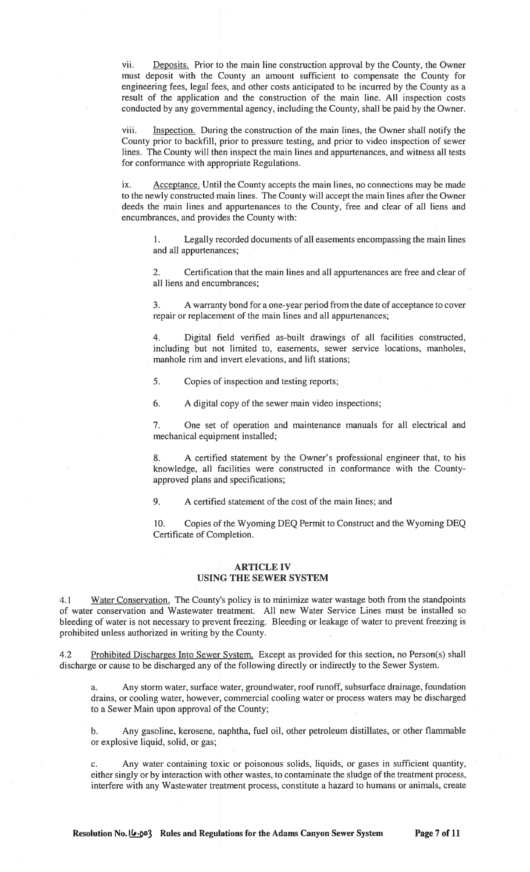vii. Deposits. Prior to the main line construction approval by the County, the Owner must deposit with the County an amount sufficient to compensate the County for engineering fees, legal fees, and other costs anticipated to be incurred by the County as a result of the application and the construction of the main line. All inspection costs conducted by any governmental agency, including the County, shall be paid by the Owner.

viii. **Inspection.** During the construction of the main lines, the Owner shall notify the County prior to backfill, prior to pressure testing, and prior to video inspection of sewer lines. The County will then inspect the main lines and appurtenances, and witness all tests for conformance with appropriate Regulations.

ix. Acceptance. Until the County accepts the main lines, no connections may be made to the newly constructed main lines. The County will accept the main lines after the Owner deeds the main lines and appurtenances to the County, free and clear of all liens and encumbrances, and provides the County with:

1. Legally recorded documents of all easements encompassing the main lines and all appurtenances;

2. Certification that the main lines and all appurtenances are free and clear of all liens and encumbrances;

3. A warranty bond for a one-year period from the date of acceptance to cover repair or replacement of the main lines and all appurtenances;

4. Digital field verified as-built drawings of all facilities constructed, including but not limited to, easements, sewer service locations, manholes, manhole rim and invert elevations, and lift stations;

5. Copies of inspection and testing reports;

6. A digital copy of the sewer main video inspections;

7. One set of operation and maintenance manuals for all electrical and mechanical equipment installed;

8. A certified statement by the Owner's professional engineer that, to his knowledge, all facilities were constructed in conformance with the Countyapproved plans and specifications;

9. A certified statement of the cost of the main lines; and

10. Copies of the Wyoming DEQ Permit to Construct and the Wyoming DEQ Certificate of Completion.

# ARTICLE IV

## USING THE SEWER SYSTEM

4.1 Water Conservation. The County's policy is to minimize water wastage both from the standpoints of water conservation and Wastewater treatment. All new Water Service Lines must be installed so bleeding of water is not necessary to prevent freezing. Bleeding or leakage of water to prevent freezing is prohibited unless authorized in writing by the County.

4.2 Prohibited Discharges Into Sewer System. Except as provided for this section, no Person(s) shall discharge or cause to be discharged any of the following directly or indirectly to the Sewer System.

a. Any storm water, surface water, groundwater, roof runoff, subsurface drainage, foundation drains, or cooling water, however, commercial cooling water or process waters may be discharged to a Sewer Main upon approval of the County;

b. Any gasoline, kerosene, naphtha, fuel oil, other petroleum distillates, or other flammable or explosive liquid, solid, or gas;

c. Any water containing toxic or poisonous solids, liquids, or gases in sufficient quantity, either singly or by interaction with other wastes, to contaminate the sludge of the treatment process, interfere with any Wastewater treatment process, constitute a hazard to humans or animals, create

Resolution No. 16. 1903 Rules and Regulations for the Adams Canyon Sewer System Page 7 of 11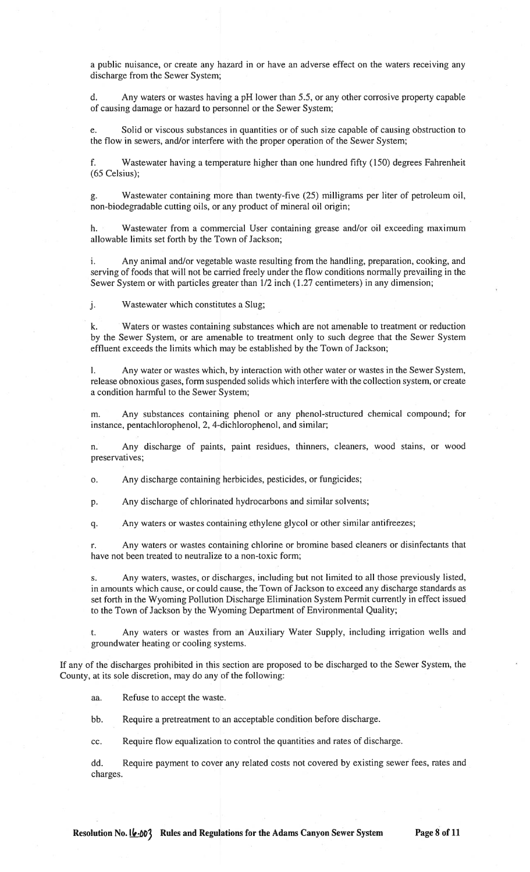a public nuisance, or create any hazard in or have an adverse effect on the waters receiving any discharge from the Sewer System;

d. Any waters or wastes having a pH lower than 5.5, or any other corrosive property capable of causing damage or hazard to personnel or the Sewer System;

e. Solid or viscous substances in quantities or of such size capable of causing obstruction to the flow in sewers, and/or interfere with the proper operation of the Sewer System;

f. Wastewater having a temperature higher than one hundred fifty (150) degrees Fahrenheit (65 Celsius);

g. Wastewater containing more than twenty-five (25) milligrams per liter of petroleum oil, non-biodegradable cutting oils, or any product of mineral oil origin;

h. Wastewater from a commercial User containing grease and/or oil exceeding maximum allowable limits set forth by the Town of Jackson;

i. Any animal and/or vegetable waste resulting from the handling, preparation, cooking, and serving of foods that will not be carried freely under the flow conditions normally prevailing in the Sewer System or with particles greater than 1/2 inch (1.27 centimeters) in any dimension;

j. Wastewater which constitutes a Slug;

k. Waters or wastes containing substances which are not amenable to treatment or reduction by the Sewer System, or are amenable to treatment only to such degree that the Sewer System effluent exceeds the limits which may be established by the Town of Jackson;

1. Any water or wastes which, by interaction with other water or wastes in the Sewer System, release obnoxious gases, form suspended solids which interfere with the collection system, or create a condition harmful to the Sewer System;

m. Any substances containing phenol or any phenol-structured chemical compound; for instance, pentachlorophenol, 2, 4-dichlorophenol, and similar;

n. Any discharge of paints, paint residues, thinners, cleaners, wood stains, or wood preservatives;

o. Any discharge containing herbicides, pesticides, or fungicides;

p. Any discharge of chlorinated hydrocarbons and similar solvents;

q. Any waters or wastes containing ethylene glycol or other similar antifreezes;

r. Any waters or wastes containing chlorine or bromine based cleaners or disinfectants that have not been treated to neutralize to a non-toxic form;

s. Any waters, wastes, or discharges, including but not limited to all those previously listed, in amounts which cause, or could cause, the Town of Jackson to exceed any discharge standards as set forth in the Wyoming Pollution Discharge Elimination System Permit currently in effect issued to the Town of Jackson by the Wyoming Department of Environmental Quality;

t. Any waters or wastes from an Auxiliary Water Supply, including irrigation wells and groundwater heating or cooling systems.

If any of the discharges prohibited in this section are proposed to be discharged to the Sewer System, the County, at its sole discretion, may do any of the following:

aa. Refuse to accept the waste.

bb. Require a pretreatment to an acceptable condition before discharge.

cc. Require flow equalization to control the quantities and rates of discharge.

dd. Require payment to cover any related costs not covered by existing sewer fees, rates and charges.

Resolution No. 16.603 Rules and Regulations for the Adams Canyon Sewer System Page 8 of 11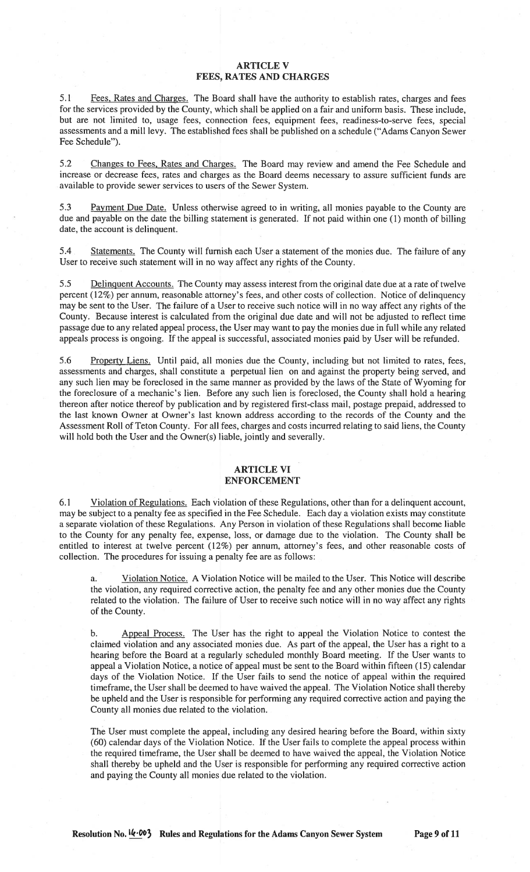### ARTICLE V FEES, RATES AND CHARGES

5.1 Fees, Rates and Charges. The Board shall have the authority to establish rates, charges and fees for the services provided by the County, which shall be applied on a fair and uniform basis. These include, but are not limited to, usage fees, connection fees, equipment fees, readiness-to-serve fees, special assessments and a mill levy. The established fees shall be published on a schedule ("Adams Canyon Sewer Fee Schedule").

5.2 Changes to Fees, Rates and Charges. The Board may review and amend the Fee Schedule and increase or decrease fees, rates and charges as the Board deems necessary to assure sufficient funds are available to provide sewer services to users of the Sewer System.

5.3 Payment Due Date. Unless otherwise agreed to in writing, all monies payable to the County are due and payable on the date the billing statement is generated. If not paid within one (1) month of billing date, the account is delinquent.

5.4 Statements. The County will furnish each User a statement of the monies due. The failure of any User to receive such statement will in no way affect any rights of the County.

5.5 Delinquent Accounts. The County may assess interest from the original date due at a rate of twelve percent (12%) per annum, reasonable attorney's fees, and other costs of collection. Notice of delinquency may be sent to the User. The failure of a User to receive such notice will in no way affect any rights of the County. Because interest is calculated from the original due date and will not be adjusted to reflect time passage due to any related appeal process, the User may want to pay the monies due in full while any related appeals process is ongoing. If the appeal is successful, associated monies paid by User will be refunded.

5.6 Property Liens. Until paid, all monies due the County, including but not limited to rates, fees, assessments and charges, shall constitute a perpetual lien on and against the property being served, and any such lien may be foreclosed in the same manner as provided by the laws of the State of Wyoming for the foreclosure of a mechanic's lien. Before any such lien is foreclosed, the County shall hold a hearing thereon after notice thereof by publication and by registered first-class mail, postage prepaid, addressed to the last known Owner at Owner's last known address according to the records of the County and the Assessment Roll of Teton County. For all fees, charges and costs incurred relating to said liens, the County will hold both the User and the Owner(s) liable, jointly and severally.

### ARTICLE VI ENFORCEMENT

6.1 Violation of Regulations. Each violation of these Regulations, other than for a delinquent account, may be subject to a penalty fee as specified in the Fee Schedule. Each day a violation exists may constitute a separate violation of these Regulations. Any Person in violation of these Regulations shall become liable to the County for any penalty fee, expense, loss, or damage due to the violation. The County shall be entitled to interest at twelve percent (12%) per annum, attorney's fees, and other reasonable costs of collection. The procedures for issuing a penalty fee are as follows:

a. Violation Notice. A Violation Notice will be mailed to the User. This Notice will describe the violation, any required corrective action, the penalty fee and any other monies due the County related to the violation. The failure of User to receive such notice will in no way affect any rights of the County.

b. Appeal Process. The User has the right to appeal the Violation Notice to contest the claimed violation and any associated monies due. As part of the appeal, the User has a right to a hearing before the Board at a regularly scheduled monthly Board meeting. If the User wants to appeal a Violation Notice, a notice of appeal must be sent to the Board within fifteen (15) calendar days of the Violation Notice. If the User fails to send the notice of appeal within the required timeframe, the User shall be deemed to have waived the appeal. The Violation Notice shall thereby be upheld and the User is responsible for performing any required corrective action and paying the County all monies due related to the violation.

The User must complete the appeal, including any desired hearing before the Board, within sixty (60) calendar days of the Violation Notice. If the User fails to complete the appeal process within the required timeframe, the User shall be deemed to have waived the appeal, the Violation Notice shall thereby be upheld and the User is responsible for performing any required corrective action and paying the County all monies due related to the violation.

Resolution No. 14.003 Rules and Regulations for the Adams Canyon Sewer System Page 9 of 11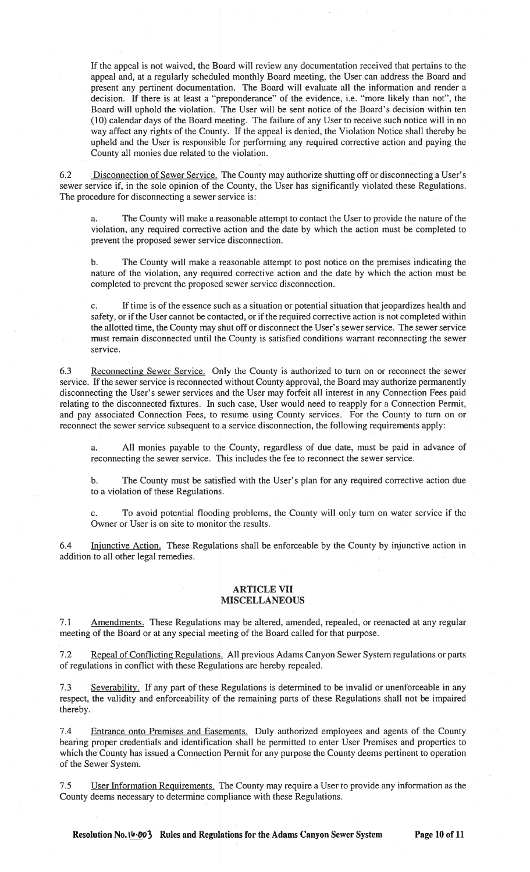If the appeal is not waived, the Board will review any documentation received that pertains to the appeal and, at a regularly scheduled monthly Board meeting, the User can address the Board and present any pertinent documentation. The Board will evaluate all the information and render a decision. If there is at least a "preponderance" of the evidence, i.e. "more likely than not", the Board will uphold the violation. The User will be sent notice of the Board's decision within ten (10) calendar days of the Board meeting. The failure of any User to receive such notice will in no way affect any rights of the County. If the appeal is denied, the Violation Notice shall thereby be upheld and the User is responsible for performing any required corrective action and paying the County all monies due related to the violation.

6.2 Disconnection of Sewer Service. The County may authorize shutting off or disconnecting a User's sewer service if, in the sole opinion of the County, the User has significantly violated these Regulations. The procedure for disconnecting a sewer service is:

a. The County will make a reasonable attempt to contact the User to provide the nature of the violation, any required corrective action and the date by which the action must be completed to prevent the proposed sewer service disconnection.

b. The County will make a reasonable attempt to post notice on the premises indicating the nature of the violation, any required corrective action and the date by which the action must be completed to prevent the proposed sewer service disconnection.

c. If time is of the essence such as a situation or potential situation that jeopardizes health and safety, or if the User cannot be contacted, or if the required corrective action is not completed within the allotted time, the County may shut off or disconnect the User's sewer service. The sewer service must remain disconnected until the County is satisfied conditions warrant reconnecting the sewer service.

6.3 Reconnecting Sewer Service. Only the County is authorized to turn on or reconnect the sewer service. If the sewer service is reconnected without County approval, the Board may authorize permanently. disconnecting the User's sewer services and the User may forfeit all interest in any Connection Fees paid relating to the disconnected fixtures. In such case, User would need to reapply for a Connection Permit, and pay associated Connection Fees, to resume using County services. For the County to turn on or reconnect the sewer service subsequent to a service disconnection, the following requirements apply:

a. All monies payable to the County, regardless of due date, must be paid in advance of reconnecting the sewer service. This includes the fee to reconnect the sewer service.

b. The County must be satisfied with the User's plan for any required corrective action due to a violation of these Regulations.

c. To avoid potential flooding problems, the County will only turn on water service if the Owner or User is on site to monitor the results.

6.4 Injunctive Action. These Regulations shall be enforceable by the County by injunctive action in addition to all other legal remedies.

### ARTICLE VII MISCELLANEOUS

7.1 Amendments. These Regulations may be altered, amended, repealed, or reenacted at any regular meeting of the Board or at any special meeting of the Board called for that purpose.

7.2 Repeal of Conflicting Regulations. All previous Adams Canyon Sewer System regulations or parts of regulations in conflict with these Regulations are hereby repealed.

7.3 Severability. If any part of these Regulations is determined to be invalid or unenforceable in any respect, the validity and enforceability of the remaining parts of these Regulations shall not be impaired thereby.

7.4 Entrance onto Premises and Easements. Duly authorized employees and agents of the County bearing proper credentials and identification shall be permitted to enter User Premises and properties to which the County has issued a Connection Permit for any purpose the County deems pertinent to operation of the Sewer System.

7.5 User Information Requirements. The County may require a User to provide any information as the County deems necessary to determine compliance with these Regulations.

Resolution No. 16.003 Rules and Regulations for the Adams Canyon Sewer System Page 10 of 11